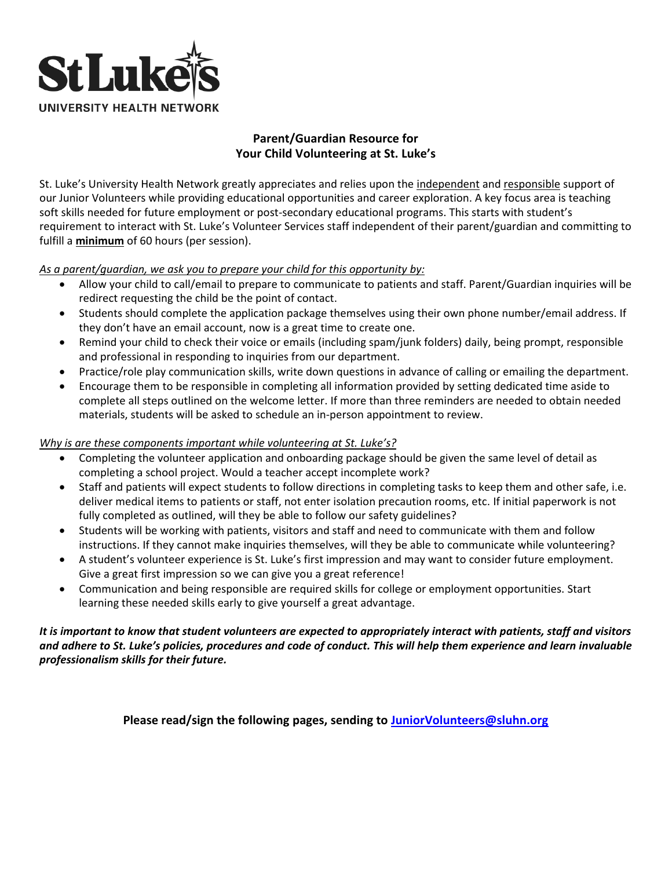

## **Parent/Guardian Resource for Your Child Volunteering at St. Luke's**

St. Luke's University Health Network greatly appreciates and relies upon the independent and responsible support of our Junior Volunteers while providing educational opportunities and career exploration. A key focus area is teaching soft skills needed for future employment or post-secondary educational programs. This starts with student's requirement to interact with St. Luke's Volunteer Services staff independent of their parent/guardian and committing to fulfill a **minimum** of 60 hours (per session).

*As a parent/guardian, we ask you to prepare your child for this opportunity by:*

- Allow your child to call/email to prepare to communicate to patients and staff. Parent/Guardian inquiries will be redirect requesting the child be the point of contact.
- Students should complete the application package themselves using their own phone number/email address. If they don't have an email account, now is a great time to create one.
- Remind your child to check their voice or emails (including spam/junk folders) daily, being prompt, responsible and professional in responding to inquiries from our department.
- Practice/role play communication skills, write down questions in advance of calling or emailing the department.
- Encourage them to be responsible in completing all information provided by setting dedicated time aside to complete all steps outlined on the welcome letter. If more than three reminders are needed to obtain needed materials, students will be asked to schedule an in-person appointment to review.

### *Why is are these components important while volunteering at St. Luke's?*

- Completing the volunteer application and onboarding package should be given the same level of detail as completing a school project. Would a teacher accept incomplete work?
- Staff and patients will expect students to follow directions in completing tasks to keep them and other safe, i.e. deliver medical items to patients or staff, not enter isolation precaution rooms, etc. If initial paperwork is not fully completed as outlined, will they be able to follow our safety guidelines?
- Students will be working with patients, visitors and staff and need to communicate with them and follow instructions. If they cannot make inquiries themselves, will they be able to communicate while volunteering?
- A student's volunteer experience is St. Luke's first impression and may want to consider future employment. Give a great first impression so we can give you a great reference!
- Communication and being responsible are required skills for college or employment opportunities. Start learning these needed skills early to give yourself a great advantage.

## *It is important to know that student volunteers are expected to appropriately interact with patients, staff and visitors and adhere to St. Luke's policies, procedures and code of conduct. This will help them experience and learn invaluable professionalism skills for their future.*

**Please read/sign the following pages, sending to [JuniorVolunteers@sluhn.org](mailto:JuniorVolunteers@sluhn.org)**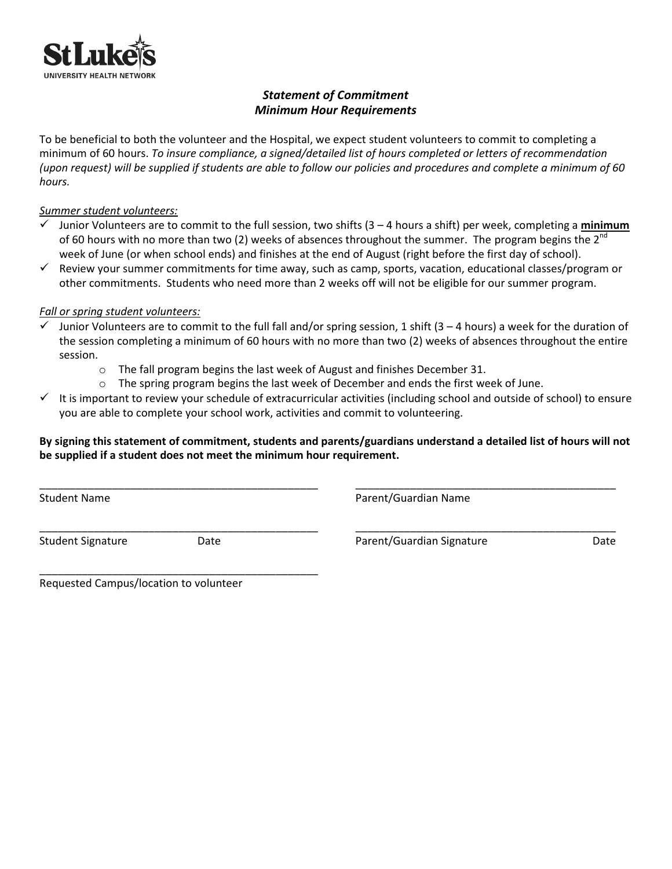

## *Statement of Commitment Minimum Hour Requirements*

To be beneficial to both the volunteer and the Hospital, we expect student volunteers to commit to completing a minimum of 60 hours. *To insure compliance, a signed/detailed list of hours completed or letters of recommendation (upon request) will be supplied if students are able to follow our policies and procedures and complete a minimum of 60 hours.*

### *Summer student volunteers:*

- ✓ Junior Volunteers are to commit to the full session, two shifts (3 4 hours a shift) per week, completing a **minimum** of 60 hours with no more than two (2) weeks of absences throughout the summer. The program begins the  $2^{n\alpha}$ week of June (or when school ends) and finishes at the end of August (right before the first day of school).
- ✓ Review your summer commitments for time away, such as camp, sports, vacation, educational classes/program or other commitments. Students who need more than 2 weeks off will not be eligible for our summer program.

#### *Fall or spring student volunteers:*

- $\checkmark$  Junior Volunteers are to commit to the full fall and/or spring session, 1 shift (3 4 hours) a week for the duration of the session completing a minimum of 60 hours with no more than two (2) weeks of absences throughout the entire session.
	- $\circ$  The fall program begins the last week of August and finishes December 31.
	- $\circ$  The spring program begins the last week of December and ends the first week of June.
- $\checkmark$  It is important to review your schedule of extracurricular activities (including school and outside of school) to ensure you are able to complete your school work, activities and commit to volunteering.

## **By signing this statement of commitment, students and parents/guardians understand a detailed list of hours will not be supplied if a student does not meet the minimum hour requirement.**

\_\_\_\_\_\_\_\_\_\_\_\_\_\_\_\_\_\_\_\_\_\_\_\_\_\_\_\_\_\_\_\_\_\_\_\_\_\_\_\_\_\_\_\_\_\_ \_\_\_\_\_\_\_\_\_\_\_\_\_\_\_\_\_\_\_\_\_\_\_\_\_\_\_\_\_\_\_\_\_\_\_\_\_\_\_\_\_\_\_

\_\_\_\_\_\_\_\_\_\_\_\_\_\_\_\_\_\_\_\_\_\_\_\_\_\_\_\_\_\_\_\_\_\_\_\_\_\_\_\_\_\_\_\_\_\_ \_\_\_\_\_\_\_\_\_\_\_\_\_\_\_\_\_\_\_\_\_\_\_\_\_\_\_\_\_\_\_\_\_\_\_\_\_\_\_\_\_\_\_

Student Name Parent/Guardian Name

\_\_\_\_\_\_\_\_\_\_\_\_\_\_\_\_\_\_\_\_\_\_\_\_\_\_\_\_\_\_\_\_\_\_\_\_\_\_\_\_\_\_\_\_\_\_

Student Signature **Constructs** Date **Parent/Guardian Signature** Parent/Guardian Signature Date

Requested Campus/location to volunteer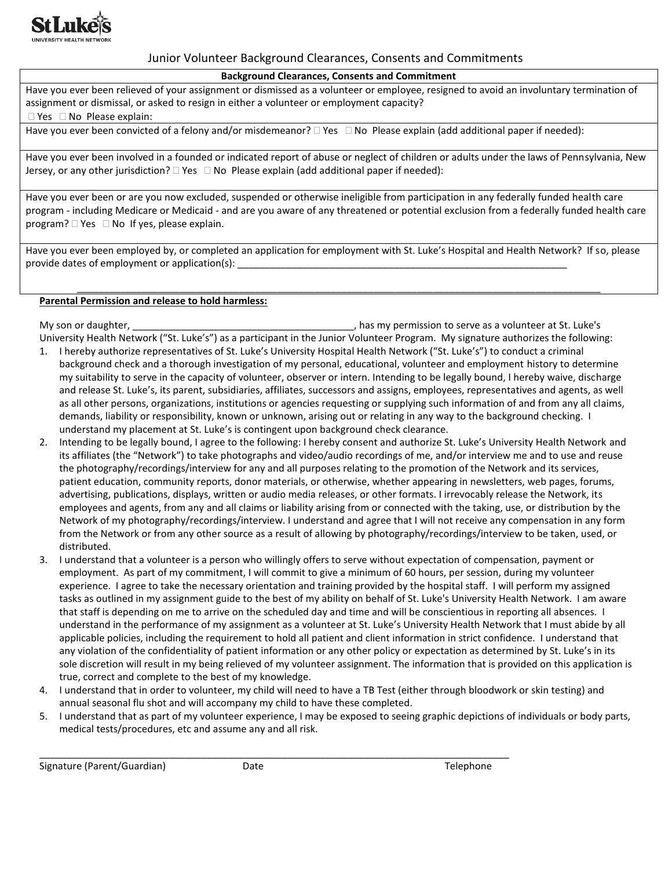

### Junior Volunteer Background Clearances, Consents and Commitments

#### **Background Clearances, Consents and Commitment**

Have you ever been relieved of your assignment or dismissed as a volunteer or employee, resigned to avoid an involuntary termination of assignment or dismissal, or asked to resign in either a volunteer or employment capacity?

#### $\Box$  Yes  $\Box$  No Please explain:

Have you ever been convicted of a felony and/or misdemeanor?  $\Box$  Yes  $\Box$  No Please explain (add additional paper if needed):

Have you ever been involved in a founded or indicated report of abuse or neglect of children or adults under the laws of Pennsylvania, New Jersey, or any other jurisdiction?  $\Box$  Yes  $\Box$  No Please explain (add additional paper if needed):

Have you ever been or are you now excluded, suspended or otherwise ineligible from participation in any federally funded health care program - including Medicare or Medicaid - and are you aware of any threatened or potential exclusion from a federally funded health care program?  $\Box$  Yes  $\Box$  No If yes, please explain.

Have you ever been employed by, or completed an application for employment with St. Luke's Hospital and Health Network? If so, please provide dates of employment or application(s):

\_\_\_\_\_\_\_\_\_\_\_\_\_\_\_\_\_\_\_\_\_\_\_\_\_\_\_\_\_\_\_\_\_\_\_\_\_\_\_\_\_\_\_\_\_\_\_\_\_\_\_\_\_\_\_\_\_\_\_\_\_\_\_\_\_\_\_\_\_\_\_\_\_\_\_\_\_\_\_\_\_\_\_\_\_\_\_\_\_\_\_\_\_\_\_\_\_

#### **Parental Permission and release to hold harmless:**

My son or daughter, \_\_\_\_\_\_\_\_\_\_\_\_\_\_\_\_\_\_\_\_\_\_\_\_\_\_\_\_\_\_\_\_\_\_\_\_\_\_\_\_\_, has my permission to serve as a volunteer at St. Luke's University Health Network ("St. Luke's") as a participant in the Junior Volunteer Program. My signature authorizes the following: 1. I hereby authorize representatives of St. Luke's University Hospital Health Network ("St. Luke's") to conduct a criminal

- background check and a thorough investigation of my personal, educational, volunteer and employment history to determine my suitability to serve in the capacity of volunteer, observer or intern. Intending to be legally bound, I hereby waive, discharge and release St. Luke's, its parent, subsidiaries, affiliates, successors and assigns, employees, representatives and agents, as well as all other persons, organizations, institutions or agencies requesting or supplying such information of and from any all claims, demands, liability or responsibility, known or unknown, arising out or relating in any way to the background checking. I understand my placement at St. Luke's is contingent upon background check clearance.
- 2. Intending to be legally bound, I agree to the following: I hereby consent and authorize St. Luke's University Health Network and its affiliates (the "Network") to take photographs and video/audio recordings of me, and/or interview me and to use and reuse the photography/recordings/interview for any and all purposes relating to the promotion of the Network and its services, patient education, community reports, donor materials, or otherwise, whether appearing in newsletters, web pages, forums, advertising, publications, displays, written or audio media releases, or other formats. I irrevocably release the Network, its employees and agents, from any and all claims or liability arising from or connected with the taking, use, or distribution by the Network of my photography/recordings/interview. I understand and agree that I will not receive any compensation in any form from the Network or from any other source as a result of allowing by photography/recordings/interview to be taken, used, or distributed.
- 3. I understand that a volunteer is a person who willingly offers to serve without expectation of compensation, payment or employment. As part of my commitment, I will commit to give a minimum of 60 hours, per session, during my volunteer experience. I agree to take the necessary orientation and training provided by the hospital staff. I will perform my assigned tasks as outlined in my assignment guide to the best of my ability on behalf of St. Luke's University Health Network. I am aware that staff is depending on me to arrive on the scheduled day and time and will be conscientious in reporting all absences. I understand in the performance of my assignment as a volunteer at St. Luke's University Health Network that I must abide by all applicable policies, including the requirement to hold all patient and client information in strict confidence. I understand that any violation of the confidentiality of patient information or any other policy or expectation as determined by St. Luke's in its sole discretion will result in my being relieved of my volunteer assignment. The information that is provided on this application is true, correct and complete to the best of my knowledge.
- 4. I understand that in order to volunteer, my child will need to have a TB Test (either through bloodwork or skin testing) and annual seasonal flu shot and will accompany my child to have these completed.
- 5. I understand that as part of my volunteer experience, I may be exposed to seeing graphic depictions of individuals or body parts, medical tests/procedures, etc and assume any and all risk.

Signature (Parent/Guardian) Date Development of the Telephone

\_\_\_\_\_\_\_\_\_\_\_\_\_\_\_\_\_\_\_\_\_\_\_\_\_\_\_\_\_\_\_\_\_\_\_\_\_\_\_\_\_\_\_\_\_\_\_\_\_\_\_\_\_\_\_\_\_\_\_\_\_\_\_\_\_\_\_\_\_\_\_\_\_\_\_\_\_\_\_\_\_\_\_\_\_\_\_